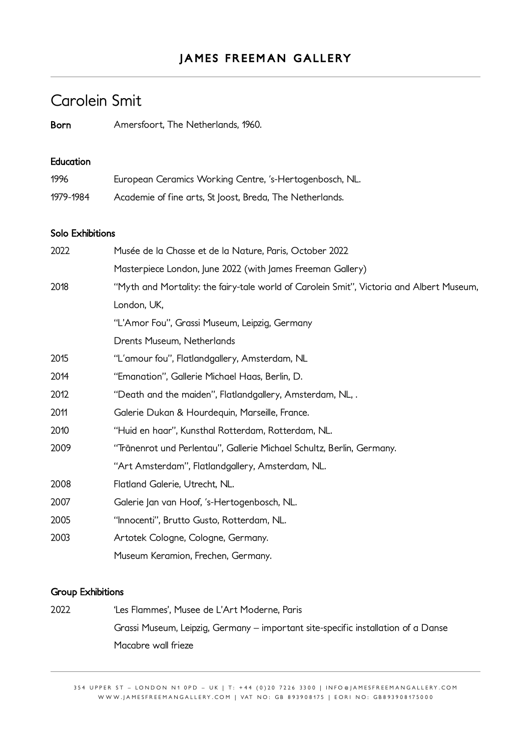# Carolein Smit

Born Amersfoort, The Netherlands, 1960.

### Education

| 1996      | European Ceramics Working Centre, 's-Hertogenbosch, NL.  |
|-----------|----------------------------------------------------------|
| 1979-1984 | Academie of fine arts, St Joost, Breda, The Netherlands. |

#### Solo Exhibitions

| 2022 | Musée de la Chasse et de la Nature, Paris, October 2022                                  |
|------|------------------------------------------------------------------------------------------|
|      | Masterpiece London, June 2022 (with James Freeman Gallery)                               |
| 2018 | "Myth and Mortality: the fairy-tale world of Carolein Smit", Victoria and Albert Museum, |
|      | London, UK,                                                                              |
|      | "L'Amor Fou", Grassi Museum, Leipzig, Germany                                            |
|      | Drents Museum, Netherlands                                                               |
| 2015 | "L'amour fou", Flatlandgallery, Amsterdam, NL                                            |
| 2014 | "Emanation", Gallerie Michael Haas, Berlin, D.                                           |
| 2012 | "Death and the maiden", Flatlandgallery, Amsterdam, NL,.                                 |
| 2011 | Galerie Dukan & Hourdequin, Marseille, France.                                           |
| 2010 | "Huid en haar", Kunsthal Rotterdam, Rotterdam, NL.                                       |
| 2009 | "Tränenrot und Perlentau", Gallerie Michael Schultz, Berlin, Germany.                    |
|      | "Art Amsterdam", Flatlandgallery, Amsterdam, NL.                                         |
| 2008 | Flatland Galerie, Utrecht, NL.                                                           |
| 2007 | Galerie Jan van Hoof, 's-Hertogenbosch, NL.                                              |
| 2005 | "Innocenti", Brutto Gusto, Rotterdam, NL.                                                |
| 2003 | Artotek Cologne, Cologne, Germany.                                                       |
|      | Museum Keramion, Frechen, Germany.                                                       |

### Group Exhibitions

2022 'Les Flammes', Musee de L'Art Moderne, Paris Grassi Museum, Leipzig, Germany – important site-specific installation of a Danse Macabre wall frieze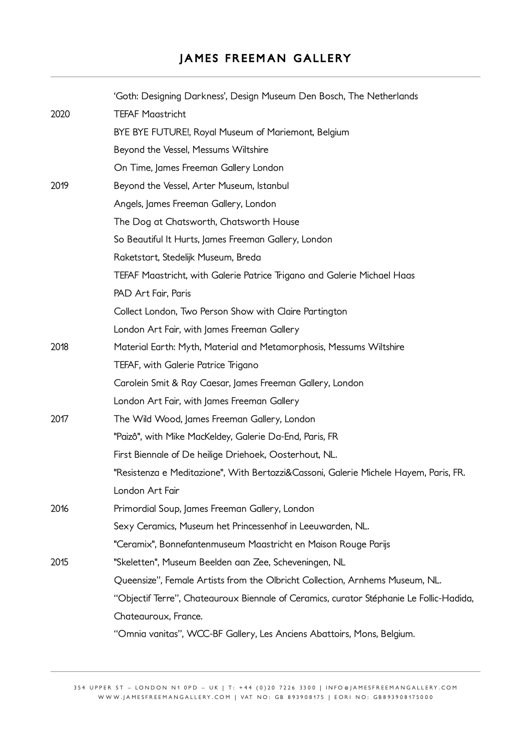# **JAMES FREEMAN GALLERY**

|      | 'Goth: Designing Darkness', Design Museum Den Bosch, The Netherlands                   |
|------|----------------------------------------------------------------------------------------|
| 2020 | <b>TEFAF Maastricht</b>                                                                |
|      | BYE BYE FUTURE!, Royal Museum of Mariemont, Belgium                                    |
|      | Beyond the Vessel, Messums Wiltshire                                                   |
|      | On Time, James Freeman Gallery London                                                  |
| 2019 | Beyond the Vessel, Arter Museum, Istanbul                                              |
|      | Angels, James Freeman Gallery, London                                                  |
|      | The Dog at Chatsworth, Chatsworth House                                                |
|      | So Beautiful It Hurts, James Freeman Gallery, London                                   |
|      | Raketstart, Stedelijk Museum, Breda                                                    |
|      | TEFAF Maastricht, with Galerie Patrice Trigano and Galerie Michael Haas                |
|      | PAD Art Fair, Paris                                                                    |
|      | Collect London, Two Person Show with Claire Partington                                 |
|      | London Art Fair, with James Freeman Gallery                                            |
| 2018 | Material Earth: Myth, Material and Metamorphosis, Messums Wiltshire                    |
|      | TEFAF, with Galerie Patrice Trigano                                                    |
|      | Carolein Smit & Ray Caesar, James Freeman Gallery, London                              |
|      | London Art Fair, with James Freeman Gallery                                            |
| 2017 | The Wild Wood, James Freeman Gallery, London                                           |
|      | "Paizô", with Mike MacKeldey, Galerie Da-End, Paris, FR                                |
|      | First Biennale of De heilige Driehoek, Oosterhout, NL.                                 |
|      | "Resistenza e Meditazione", With Bertozzi&Cassoni, Galerie Michele Hayem, Paris, FR.   |
|      | London Art Fair                                                                        |
| 2016 | Primordial Soup, James Freeman Gallery, London                                         |
|      | Sexy Ceramics, Museum het Princessenhof in Leeuwarden, NL.                             |
|      | "Ceramix", Bonnefantenmuseum Maastricht en Maison Rouge Parijs                         |
| 2015 | "Skeletten", Museum Beelden aan Zee, Scheveningen, NL                                  |
|      | Queensize", Female Artists from the Olbricht Collection, Arnhems Museum, NL.           |
|      | "Objectif Terre", Chateauroux Biennale of Ceramics, curator Stéphanie Le Follic-Hadida |
|      | Chateauroux, France.                                                                   |
|      | "Omnia vanitas", WCC-BF Gallery, Les Anciens Abattoirs, Mons, Belgium.                 |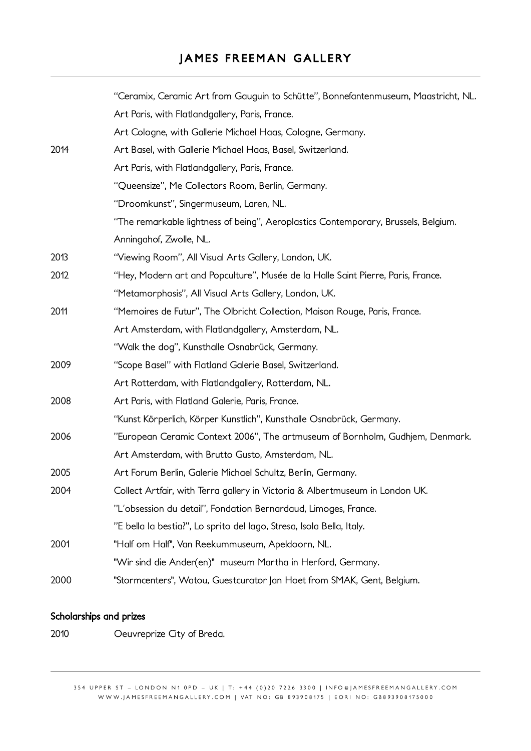# **JAMES FREEMAN GALLERY**

|      | "Ceramix, Ceramic Art from Gauguin to Schütte", Bonnefantenmuseum, Maastricht, NL. |
|------|------------------------------------------------------------------------------------|
|      | Art Paris, with Flatlandgallery, Paris, France.                                    |
|      | Art Cologne, with Gallerie Michael Haas, Cologne, Germany.                         |
| 2014 | Art Basel, with Gallerie Michael Haas, Basel, Switzerland.                         |
|      | Art Paris, with Flatlandgallery, Paris, France.                                    |
|      | "Queensize", Me Collectors Room, Berlin, Germany.                                  |
|      | "Droomkunst", Singermuseum, Laren, NL.                                             |
|      | "The remarkable lightness of being", Aeroplastics Contemporary, Brussels, Belgium. |
|      | Anningahof, Zwolle, NL.                                                            |
| 2013 | "Viewing Room", All Visual Arts Gallery, London, UK.                               |
| 2012 | "Hey, Modern art and Popculture", Musée de la Halle Saint Pierre, Paris, France.   |
|      | "Metamorphosis", All Visual Arts Gallery, London, UK.                              |
| 2011 | "Memoires de Futur", The Olbricht Collection, Maison Rouge, Paris, France.         |
|      | Art Amsterdam, with Flatlandgallery, Amsterdam, NL.                                |
|      | "Walk the dog", Kunsthalle Osnabrück, Germany.                                     |
| 2009 | "Scope Basel" with Flatland Galerie Basel, Switzerland.                            |
|      | Art Rotterdam, with Flatlandgallery, Rotterdam, NL.                                |
| 2008 | Art Paris, with Flatland Galerie, Paris, France.                                   |
|      | "Kunst Körperlich, Körper Kunstlich", Kunsthalle Osnabrück, Germany.               |
| 2006 | "European Ceramic Context 2006", The artmuseum of Bornholm, Gudhjem, Denmark.      |
|      | Art Amsterdam, with Brutto Gusto, Amsterdam, NL.                                   |
| 2005 | Art Forum Berlin, Galerie Michael Schultz, Berlin, Germany.                        |
| 2004 | Collect Artfair, with Terra gallery in Victoria & Albertmuseum in London UK.       |
|      | "L'obsession du detail", Fondation Bernardaud, Limoges, France.                    |
|      | "E bella la bestia?", Lo sprito del lago, Stresa, Isola Bella, Italy.              |
| 2001 | "Half om Half", Van Reekummuseum, Apeldoorn, NL.                                   |
|      | "Wir sind die Ander(en)" museum Martha in Herford, Germany.                        |
| 2000 | "Stormcenters", Watou, Guestcurator Jan Hoet from SMAK, Gent, Belgium.             |

## Scholarships and prizes

2010 Oeuvreprize City of Breda.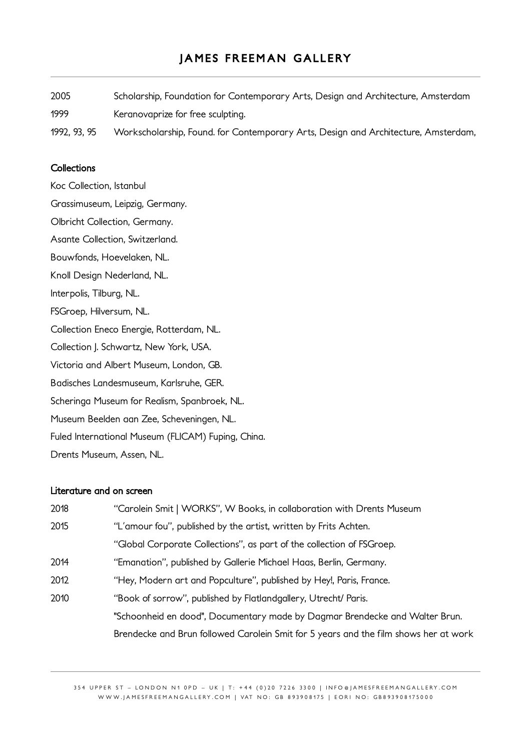2005 Scholarship, Foundation for Contemporary Arts, Design and Architecture, Amsterdam 1999 Keranovaprize for free sculpting. 1992, 93, 95 Workscholarship, Found. for Contemporary Arts, Design and Architecture, Amsterdam,

### **Collections**

Koc Collection, Istanbul Grassimuseum, Leipzig, Germany. Olbricht Collection, Germany. Asante Collection, Switzerland. Bouwfonds, Hoevelaken, NL. Knoll Design Nederland, NL. Interpolis, Tilburg, NL. FSGroep, Hilversum, NL. Collection Eneco Energie, Rotterdam, NL. Collection J. Schwartz, New York, USA. Victoria and Albert Museum, London, GB. Badisches Landesmuseum, Karlsruhe, GER. Scheringa Museum for Realism, Spanbroek, NL. Museum Beelden aan Zee, Scheveningen, NL. Fuled International Museum (FLICAM) Fuping, China. Drents Museum, Assen, NL.

#### Literature and on screen

| 2018 | "Carolein Smit   WORKS", W Books, in collaboration with Drents Museum                |
|------|--------------------------------------------------------------------------------------|
| 2015 | "L'amour fou", published by the artist, written by Frits Achten.                     |
|      | "Global Corporate Collections", as part of the collection of FSGroep.                |
| 2014 | "Emanation", published by Gallerie Michael Haas, Berlin, Germany.                    |
| 2012 | "Hey, Modern art and Popculture", published by Hey!, Paris, France.                  |
| 2010 | "Book of sorrow", published by Flatlandgallery, Utrecht/ Paris.                      |
|      | "Schoonheid en dood", Documentary made by Dagmar Brendecke and Walter Brun.          |
|      | Brendecke and Brun followed Carolein Smit for 5 years and the film shows her at work |